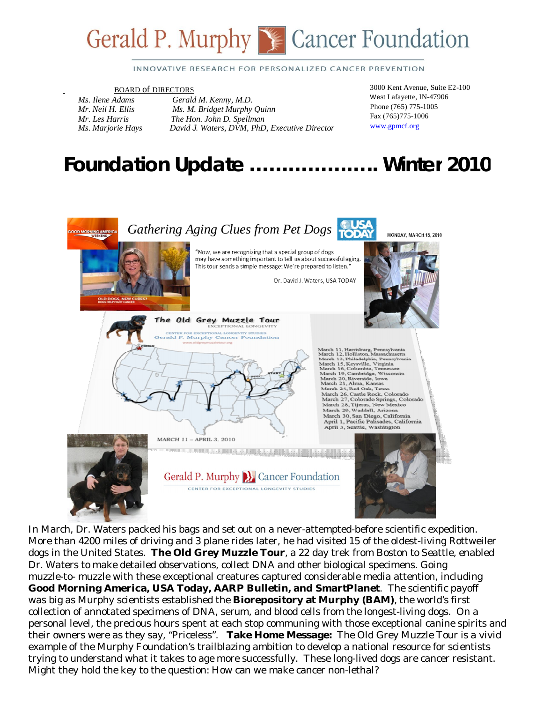

#### INNOVATIVE RESEARCH FOR PERSONALIZED CANCER PREVENTION

# **BOARD of DIRECTORS**<br>*Ms. Ilene Adams* Gerald

*Ms. Ilene Adams Gerald M. Kenny, M.D. Mr. Neil H. Ellis Ms. M. Bridget Murphy Quinn Mr. Les Harris The Hon. John D. Spellman Ms. Marjorie Hays David J. Waters, DVM, PhD, Executive Director*  3000 Kent Avenue, Suite E2-100 West Lafayette, IN-47906 Phone (765) 775-1005 Fax (765)775-1006 www.gpmcf.org

# *Foundation Update* **………………..** *Winter 2010*



In March, Dr. Waters packed his bags and set out on a never-attempted-before scientific expedition. More than 4200 miles of driving and 3 plane rides later, he had visited 15 of the oldest-living Rottweiler dogs in the United States. **The Old Grey Muzzle Tour**, a 22 day trek from Boston to Seattle, enabled Dr. Waters to make detailed observations, collect DNA and other biological specimens. Going muzzle-to- muzzle with these exceptional creatures captured considerable media attention, including **Good Morning America, USA Today, AARP Bulletin, and SmartPlanet**. The scientific payoff was big as Murphy scientists established the **Biorepository at Murphy (BAM)**, the world's first collection of annotated specimens of DNA, serum, and blood cells from the longest-living dogs. On a personal level, the precious hours spent at each stop communing with those exceptional canine spirits and their owners were as they say, "Priceless". **Take Home Message:** The Old Grey Muzzle Tour is a vivid example of the Murphy Foundation's trailblazing ambition to develop a national resource for scientists trying to understand what it takes to age more successfully. These long-lived dogs are cancer resistant. Might they hold the key to the question: How can we make cancer non-lethal?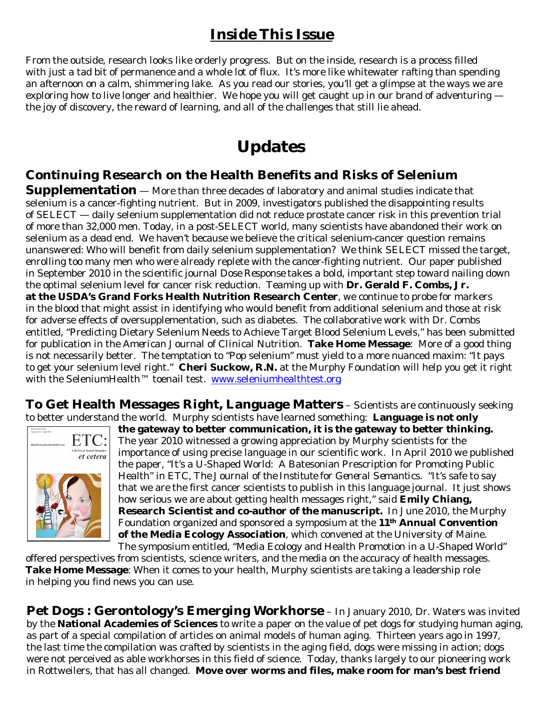#### *Inside This Issue*

From the outside, research looks like orderly progress. But on the inside, research is a process filled with just a tad bit of permanence and a whole lot of flux. It's more like whitewater rafting than spending an afternoon on a calm, shimmering lake. As you read our stories, you'll get a glimpse at the ways we are exploring how to live longer and healthier. We hope you will get caught up in our brand of adventuring the joy of discovery, the reward of learning, and all of the challenges that still lie ahead.

# **Updates**

#### **Continuing Research on the Health Benefits and Risks of Selenium**

**Supplementation** — More than three decades of laboratory and animal studies indicate that selenium is a cancer-fighting nutrient. But in 2009, investigators published the disappointing results of SELECT — daily selenium supplementation did not reduce prostate cancer risk in this prevention trial of more than 32,000 men. Today, in a post-SELECT world, many scientists have abandoned their work on selenium as a dead end. We haven't because we believe the critical selenium-cancer question remains unanswered: Who will benefit from daily selenium supplementation? We think SELECT missed the target, enrolling too many men who were already replete with the cancer-fighting nutrient. Our paper published in September 2010 in the scientific journal *Dose Response* takes a bold, important step toward nailing down the optimal selenium level for cancer risk reduction. Teaming up with **Dr. Gerald F. Combs, Jr. at the USDA's Grand Forks Health Nutrition Research Center**, we continue to probe for markers in the blood that might assist in identifying who would benefit from additional selenium and those at risk for adverse effects of oversupplementation, such as diabetes. The collaborative work with Dr. Combs entitled, "Predicting Dietary Selenium Needs to Achieve Target Blood Selenium Levels," has been submitted for publication in the *American Journal of Clinical Nutrition*. **Take Home Message**: More of a good thing is not necessarily better. The temptation to "Pop selenium" must yield to a more nuanced maxim: "It pays to get your selenium level right." **Cheri Suckow, R.N.** at the Murphy Foundation will help you get it right with the SeleniumHealth™ toenail test. www.seleniumhealthtest.org

**To Get Health Messages Right, Language Matters** – Scientists are continuously seeking to better understand the world. Murphy scientists have learned something: **Language is not only**



**the gateway to better communication, it is the gateway to better thinking.** The year 2010 witnessed a growing appreciation by Murphy scientists for the importance of using precise language in our scientific work. In April 2010 we published the paper, "It's a U-Shaped World: A Batesonian Prescription for Promoting Public Health" in *ETC, The Journal of the Institute for General Semantics*. "It's safe to say that we are the first cancer scientists to publish in this language journal. It just shows how serious we are about getting health messages right," said **Emily Chiang, Research Scientist and co-author of the manuscript.** In June 2010, the Murphy Foundation organized and sponsored a symposium at the **11th Annual Convention of the Media Ecology Association**, which convened at the University of Maine. The symposium entitled, "Media Ecology and Health Promotion in a U-Shaped World"

offered perspectives from scientists, science writers, and the media on the accuracy of health messages. **Take Home Message**: When it comes to your health, Murphy scientists are taking a leadership role in helping you find news you can use.

**Pet Dogs : Gerontology's Emerging Workhorse** – In January 2010, Dr. Waters was invited by the **National Academies of Sciences** to write a paper on the value of pet dogs for studying human aging, as part of a special compilation of articles on animal models of human aging. Thirteen years ago in 1997, the last time the compilation was crafted by scientists in the aging field, dogs were missing in action; dogs were not perceived as able workhorses in this field of science. Today, thanks largely to our pioneering work in Rottweilers, that has all changed. **Move over worms and files, make room for man's best friend**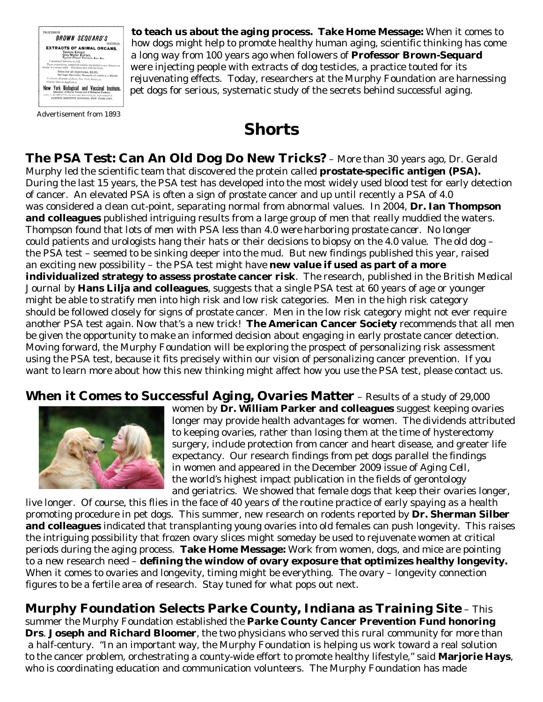

Advertisement from 1893

**to teach us about the aging process. Take Home Message:** When it comes to how dogs might help to promote healthy human aging, scientific thinking has come a long way from 100 years ago when followers of **Professor Brown-Sequard** were injecting people with extracts of dog testicles, a practice touted for its rejuvenating effects. Today, researchers at the Murphy Foundation are harnessing pet dogs for serious, systematic study of the secrets behind successful aging.

# **Shorts**

**The PSA Test: Can An Old Dog Do New Tricks?** – More than 30 years ago, Dr. Gerald Murphy led the scientific team that discovered the protein called **prostate-specific antigen (PSA).** During the last 15 years, the PSA test has developed into the most widely used blood test for early detection of cancer. An elevated PSA is often a sign of prostate cancer and up until recently a PSA of 4.0 was considered a clean cut-point, separating normal from abnormal values. In 2004, **Dr. Ian Thompson and colleagues** published intriguing results from a large group of men that really muddied the waters. Thompson found that *lots of men with PSA less than 4.0 were harboring prostate cancer.* No longer could patients and urologists hang their hats or their decisions to biopsy on the 4.0 value. The old dog – the PSA test – seemed to be sinking deeper into the mud. But new findings published this year, raised an exciting new possibility – the PSA test might have **new value if used as part of a more individualized strategy to assess prostate cancer risk**. The research, published in the *British Medical Journal* by **Hans Lilja and colleagues**, suggests that a single PSA test at 60 years of age or younger might be able to stratify men into high risk and low risk categories. Men in the high risk category should be followed closely for signs of prostate cancer. Men in the low risk category might not ever require another PSA test again. Now that's a new trick! **The American Cancer Society** recommends that all men be given the opportunity to make an informed decision about engaging in early prostate cancer detection. Moving forward, the Murphy Foundation will be exploring the prospect of personalizing risk assessment using the PSA test, because it fits precisely within our vision of personalizing cancer prevention. If you want to learn more about how this new thinking might affect how you use the PSA test, please contact us.

#### **When it Comes to Successful Aging, Ovaries Matter** – Results of a study of 29,000



women by **Dr. William Parker and colleagues** suggest keeping ovaries longer may provide health advantages for women. The dividends attributed to keeping ovaries, rather than losing them at the time of hysterectomy surgery, include protection from cancer and heart disease, and greater life expectancy. Our research findings from pet dogs parallel the findings in women and appeared in the December 2009 issue of *Aging Cell*, the world's highest impact publication in the fields of gerontology and geriatrics. We showed that female dogs that keep their ovaries longer,

live longer. Of course, this flies in the face of 40 years of the routine practice of early spaying as a health promoting procedure in pet dogs. This summer, new research on rodents reported by **Dr. Sherman Silber and colleagues** indicated that transplanting young ovaries into old females can push longevity. This raises the intriguing possibility that frozen ovary slices might someday be used to rejuvenate women at critical periods during the aging process. **Take Home Message:** Work from women, dogs, and mice are pointing to a new research need – **defining the window of ovary exposure that optimizes healthy longevity.** When it comes to ovaries and longevity, timing might be everything. The ovary – longevity connection figures to be a fertile area of research. Stay tuned for what pops out next.

**Murphy Foundation Selects Parke County, Indiana as Training Site** – This summer the Murphy Foundation established the **Parke County Cancer Prevention Fund honoring Drs**. **Joseph and Richard Bloomer**, the two physicians who served this rural community for more than a half-century. "In an important way, the Murphy Foundation is helping us work toward a real solution to the cancer problem, orchestrating a county-wide effort to promote healthy lifestyle," said **Marjorie Hays**, who is coordinating education and communication volunteers. The Murphy Foundation has made